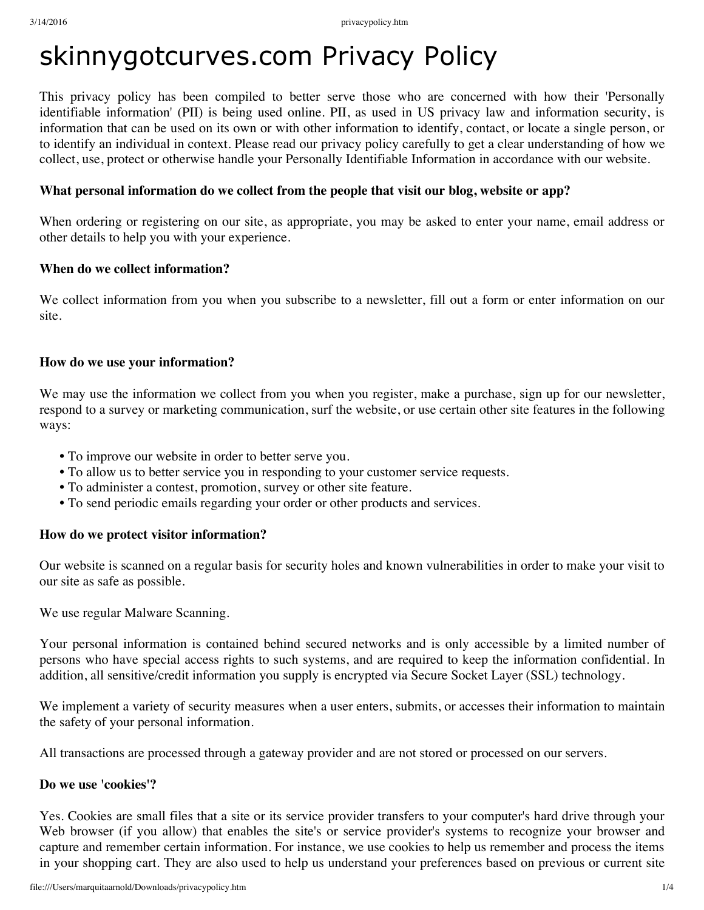# skinnygotcurves.com Privacy Policy

This privacy policy has been compiled to better serve those who are concerned with how their 'Personally identifiable information' (PII) is being used online. PII, as used in US privacy law and information security, is information that can be used on its own or with other information to identify, contact, or locate a single person, or to identify an individual in context. Please read our privacy policy carefully to get a clear understanding of how we collect, use, protect or otherwise handle your Personally Identifiable Information in accordance with our website.

#### **What personal information do we collect from the people that visit our blog, website or app?**

When ordering or registering on our site, as appropriate, you may be asked to enter your name, email address or other details to help you with your experience.

#### **When do we collect information?**

We collect information from you when you subscribe to a newsletter, fill out a form or enter information on our site.

#### **How do we use your information?**

We may use the information we collect from you when you register, make a purchase, sign up for our newsletter, respond to a survey or marketing communication, surf the website, or use certain other site features in the following ways:

- **•** To improve our website in order to better serve you.
- **•** To allow us to better service you in responding to your customer service requests.
- **•** To administer a contest, promotion, survey or other site feature.
- **•** To send periodic emails regarding your order or other products and services.

#### **How do we protect visitor information?**

Our website is scanned on a regular basis for security holes and known vulnerabilities in order to make your visit to our site as safe as possible.

We use regular Malware Scanning.

Your personal information is contained behind secured networks and is only accessible by a limited number of persons who have special access rights to such systems, and are required to keep the information confidential. In addition, all sensitive/credit information you supply is encrypted via Secure Socket Layer (SSL) technology.

We implement a variety of security measures when a user enters, submits, or accesses their information to maintain the safety of your personal information.

All transactions are processed through a gateway provider and are not stored or processed on our servers.

#### **Do we use 'cookies'?**

Yes. Cookies are small files that a site or its service provider transfers to your computer's hard drive through your Web browser (if you allow) that enables the site's or service provider's systems to recognize your browser and capture and remember certain information. For instance, we use cookies to help us remember and process the items in your shopping cart. They are also used to help us understand your preferences based on previous or current site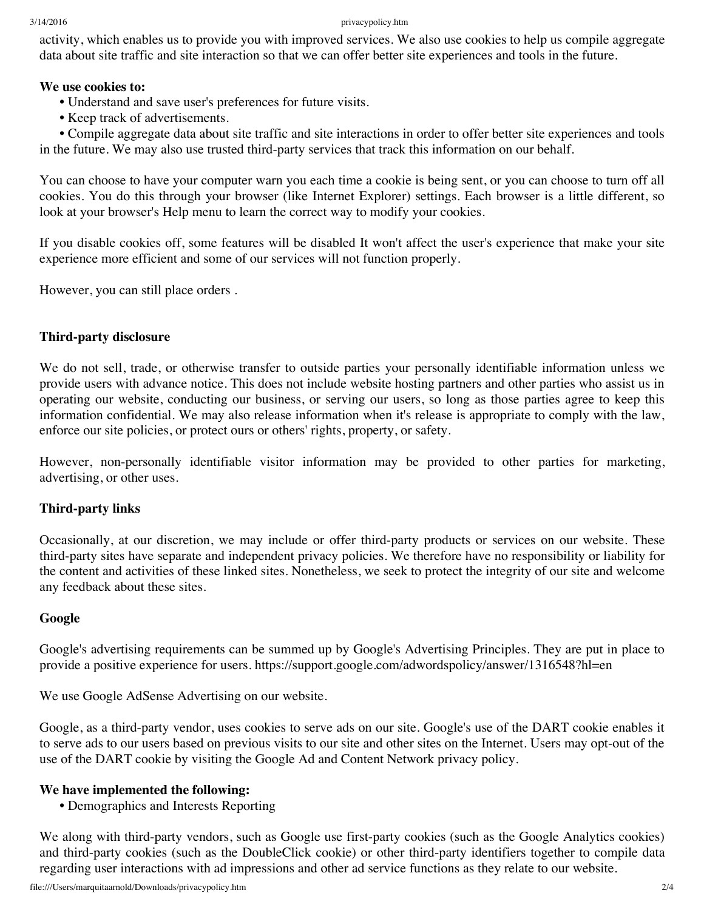#### 3/14/2016 privacypolicy.htm

activity, which enables us to provide you with improved services. We also use cookies to help us compile aggregate data about site traffic and site interaction so that we can offer better site experiences and tools in the future.

#### **We use cookies to:**

- **•** Understand and save user's preferences for future visits.
- **•** Keep track of advertisements.

**•** Compile aggregate data about site traffic and site interactions in order to offer better site experiences and tools in the future. We may also use trusted third-party services that track this information on our behalf.

You can choose to have your computer warn you each time a cookie is being sent, or you can choose to turn off all cookies. You do this through your browser (like Internet Explorer) settings. Each browser is a little different, so look at your browser's Help menu to learn the correct way to modify your cookies.

If you disable cookies off, some features will be disabled It won't affect the user's experience that make your site experience more efficient and some of our services will not function properly.

However, you can still place orders .

#### **Third-party disclosure**

We do not sell, trade, or otherwise transfer to outside parties your personally identifiable information unless we provide users with advance notice. This does not include website hosting partners and other parties who assist us in operating our website, conducting our business, or serving our users, so long as those parties agree to keep this information confidential. We may also release information when it's release is appropriate to comply with the law, enforce our site policies, or protect ours or others' rights, property, or safety.

However, non-personally identifiable visitor information may be provided to other parties for marketing, advertising, or other uses.

## **Third-party links**

Occasionally, at our discretion, we may include or offer third-party products or services on our website. These third-party sites have separate and independent privacy policies. We therefore have no responsibility or liability for the content and activities of these linked sites. Nonetheless, we seek to protect the integrity of our site and welcome any feedback about these sites.

#### **Google**

Google's advertising requirements can be summed up by Google's Advertising Principles. They are put in place to provide a positive experience for users. https://support.google.com/adwordspolicy/answer/1316548?hl=en

We use Google AdSense Advertising on our website.

Google, as a third-party vendor, uses cookies to serve ads on our site. Google's use of the DART cookie enables it to serve ads to our users based on previous visits to our site and other sites on the Internet. Users may opt-out of the use of the DART cookie by visiting the Google Ad and Content Network privacy policy.

#### **We have implemented the following:**

**•** Demographics and Interests Reporting

We along with third-party vendors, such as Google use first-party cookies (such as the Google Analytics cookies) and third-party cookies (such as the DoubleClick cookie) or other third-party identifiers together to compile data regarding user interactions with ad impressions and other ad service functions as they relate to our website.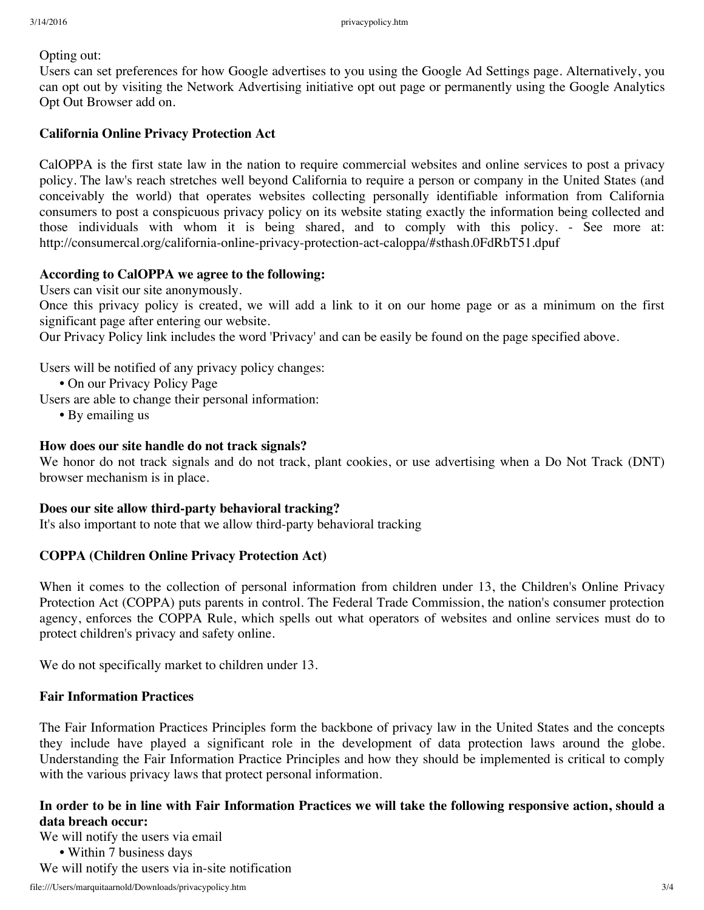Opting out:

Users can set preferences for how Google advertises to you using the Google Ad Settings page. Alternatively, you can opt out by visiting the Network Advertising initiative opt out page or permanently using the Google Analytics Opt Out Browser add on.

#### **California Online Privacy Protection Act**

CalOPPA is the first state law in the nation to require commercial websites and online services to post a privacy policy. The law's reach stretches well beyond California to require a person or company in the United States (and conceivably the world) that operates websites collecting personally identifiable information from California consumers to post a conspicuous privacy policy on its website stating exactly the information being collected and those individuals with whom it is being shared, and to comply with this policy. - See more at: http://consumercal.org/california-online-privacy-protection-act-caloppa/#sthash.0FdRbT51.dpuf

#### **According to CalOPPA we agree to the following:**

Users can visit our site anonymously.

Once this privacy policy is created, we will add a link to it on our home page or as a minimum on the first significant page after entering our website.

Our Privacy Policy link includes the word 'Privacy' and can be easily be found on the page specified above.

Users will be notified of any privacy policy changes:

- **•** On our Privacy Policy Page
- Users are able to change their personal information:
	- **•** By emailing us

#### **How does our site handle do not track signals?**

We honor do not track signals and do not track, plant cookies, or use advertising when a Do Not Track (DNT) browser mechanism is in place.

#### **Does our site allow third-party behavioral tracking?**

It's also important to note that we allow third-party behavioral tracking

#### **COPPA (Children Online Privacy Protection Act)**

When it comes to the collection of personal information from children under 13, the Children's Online Privacy Protection Act (COPPA) puts parents in control. The Federal Trade Commission, the nation's consumer protection agency, enforces the COPPA Rule, which spells out what operators of websites and online services must do to protect children's privacy and safety online.

We do not specifically market to children under 13.

#### **Fair Information Practices**

The Fair Information Practices Principles form the backbone of privacy law in the United States and the concepts they include have played a significant role in the development of data protection laws around the globe. Understanding the Fair Information Practice Principles and how they should be implemented is critical to comply with the various privacy laws that protect personal information.

## In order to be in line with Fair Information Practices we will take the following responsive action, should a **data breach occur:**

We will notify the users via email **•** Within 7 business days We will notify the users via in-site notification